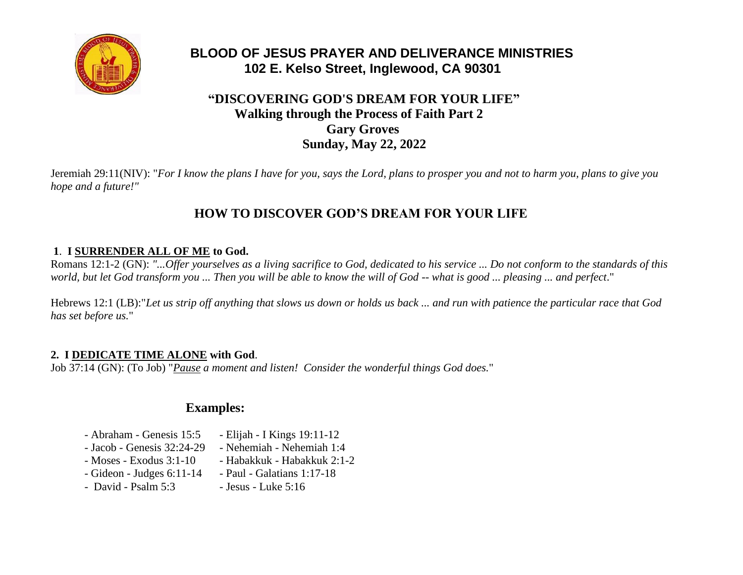

# **BLOOD OF JESUS PRAYER AND DELIVERANCE MINISTRIES 102 E. Kelso Street, Inglewood, CA 90301**

## **"DISCOVERING GOD'S DREAM FOR YOUR LIFE" Walking through the Process of Faith Part 2 Gary Groves Sunday, May 22, 2022**

Jeremiah 29:11(NIV): "*For I know the plans I have for you, says the Lord, plans to prosper you and not to harm you, plans to give you hope and a future!"*

# **HOW TO DISCOVER GOD'S DREAM FOR YOUR LIFE**

#### **1**. **I SURRENDER ALL OF ME to God.**

Romans 12:1-2 (GN): *"...Offer yourselves as a living sacrifice to God, dedicated to his service ... Do not conform to the standards of this world, but let God transform you ... Then you will be able to know the will of God -- what is good ... pleasing ... and perfect*."

Hebrews 12:1 (LB):"*Let us strip off anything that slows us down or holds us back ... and run with patience the particular race that God has set before us.*"

#### **2. I DEDICATE TIME ALONE with God**.

Job 37:14 (GN): (To Job) "*Pause a moment and listen! Consider the wonderful things God does.*"

## **Examples:**

- Abraham Genesis 15:5 Elijah I Kings 19:11-12
- Jacob Genesis 32:24-29 Nehemiah Nehemiah 1:4
- $-$  Moses Exodus 3:1-10  $-$  Habakkuk Habakkuk 2:1-2
	-
- Gideon Judges 6:11-14 Paul Galatians 1:17-18
	-
- $-$  David Psalm  $5:3$   $-$  Jesus Luke  $5:16$
-